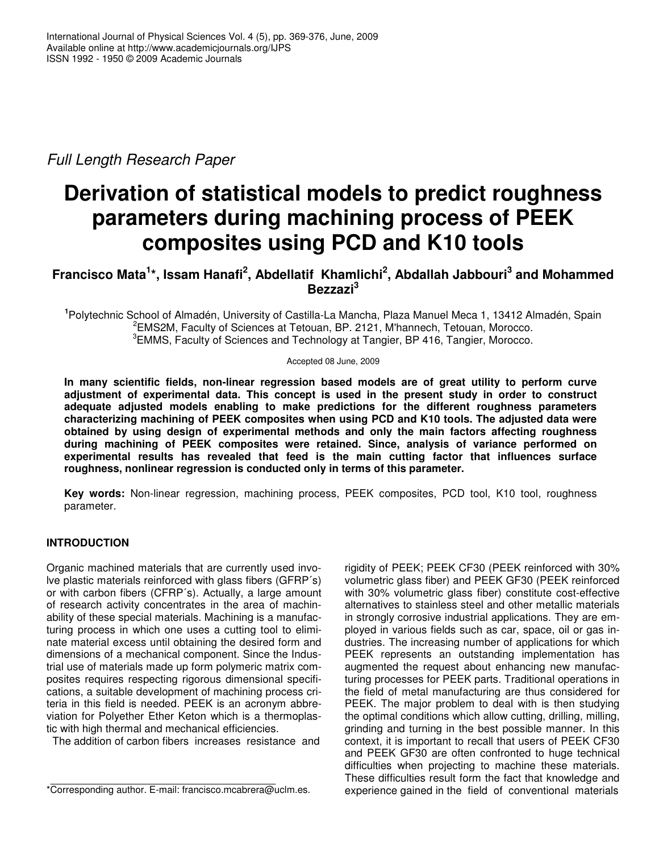*Full Length Research Paper*

# **Derivation of statistical models to predict roughness parameters during machining process of PEEK composites using PCD and K10 tools**

## **Francisco Mata 1 \*, Issam Hanafi 2 , Abdellatif Khamlichi 2 , Abdallah Jabbouri 3 and Mohammed Bezzazi 3**

**1** Polytechnic School of Almadén, University of Castilla-La Mancha, Plaza Manuel Meca 1, 13412 Almadén, Spain 2 EMS2M, Faculty of Sciences at Tetouan, BP. 2121, M'hannech, Tetouan, Morocco. <sup>3</sup> EMMS, Faculty of Sciences and Technology at Tangier, BP 416, Tangier, Morocco.

Accepted 08 June, 2009

**In many scientific fields, non-linear regression based models are of great utility to perform curve adjustment of experimental data. This concept is used in the present study in order to construct adequate adjusted models enabling to make predictions for the different roughness parameters characterizing machining of PEEK composites when using PCD and K10 tools. The adjusted data were obtained by using design of experimental methods and only the main factors affecting roughness during machining of PEEK composites were retained. Since, analysis of variance performed on experimental results has revealed that feed is the main cutting factor that influences surface roughness, nonlinear regression is conducted only in terms of this parameter.**

**Key words:** Non-linear regression, machining process, PEEK composites, PCD tool, K10 tool, roughness parameter.

### **INTRODUCTION**

Organic machined materials that are currently used involve plastic materials reinforced with glass fibers (GFRP´s) or with carbon fibers (CFRP´s). Actually, a large amount of research activity concentrates in the area of machinability of these special materials. Machining is a manufacturing process in which one uses a cutting tool to eliminate material excess until obtaining the desired form and dimensions of a mechanical component. Since the Industrial use of materials made up form polymeric matrix composites requires respecting rigorous dimensional specifications, a suitable development of machining process criteria in this field is needed. PEEK is an acronym abbreviation for Polyether Ether Keton which is a thermoplastic with high thermal and mechanical efficiencies.

The addition of carbon fibers increases resistance and

rigidity of PEEK; PEEK CF30 (PEEK reinforced with 30% volumetric glass fiber) and PEEK GF30 (PEEK reinforced with 30% volumetric glass fiber) constitute cost-effective alternatives to stainless steel and other metallic materials in strongly corrosive industrial applications. They are employed in various fields such as car, space, oil or gas industries. The increasing number of applications for which PEEK represents an outstanding implementation has augmented the request about enhancing new manufacturing processes for PEEK parts. Traditional operations in the field of metal manufacturing are thus considered for PEEK. The major problem to deal with is then studying the optimal conditions which allow cutting, drilling, milling, grinding and turning in the best possible manner. In this context, it is important to recall that users of PEEK CF30 and PEEK GF30 are often confronted to huge technical difficulties when projecting to machine these materials. These difficulties result form the fact that knowledge and experience gained in the field of conventional materials

<sup>\*</sup>Corresponding author. E-mail: francisco.mcabrera@uclm.es.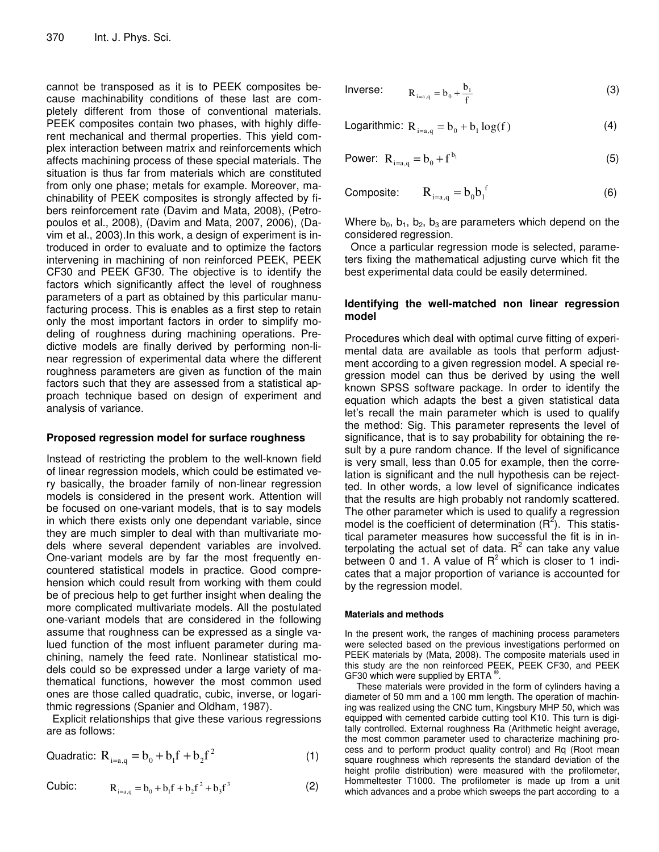cannot be transposed as it is to PEEK composites because machinability conditions of these last are completely different from those of conventional materials. PEEK composites contain two phases, with highly different mechanical and thermal properties. This yield complex interaction between matrix and reinforcements which affects machining process of these special materials. The situation is thus far from materials which are constituted from only one phase; metals for example. Moreover, machinability of PEEK composites is strongly affected by fibers reinforcement rate (Davim and Mata, 2008), (Petropoulos et al., 2008), (Davim and Mata, 2007, 2006), (Davim et al., 2003).In this work, a design of experiment is introduced in order to evaluate and to optimize the factors intervening in machining of non reinforced PEEK, PEEK CF30 and PEEK GF30. The objective is to identify the factors which significantly affect the level of roughness parameters of a part as obtained by this particular manufacturing process. This is enables as a first step to retain only the most important factors in order to simplify modeling of roughness during machining operations. Predictive models are finally derived by performing non-linear regression of experimental data where the different roughness parameters are given as function of the main factors such that they are assessed from a statistical approach technique based on design of experiment and analysis of variance.

#### **Proposed regression model for surface roughness**

Instead of restricting the problem to the well-known field of linear regression models, which could be estimated very basically, the broader family of non-linear regression models is considered in the present work. Attention will be focused on one-variant models, that is to say models in which there exists only one dependant variable, since they are much simpler to deal with than multivariate models where several dependent variables are involved. One-variant models are by far the most frequently encountered statistical models in practice. Good comprehension which could result from working with them could be of precious help to get further insight when dealing the more complicated multivariate models. All the postulated one-variant models that are considered in the following assume that roughness can be expressed as a single valued function of the most influent parameter during machining, namely the feed rate. Nonlinear statistical models could so be expressed under a large variety of mathematical functions, however the most common used ones are those called quadratic, cubic, inverse, or logarithmic regressions (Spanier and Oldham, 1987).

Explicit relationships that give these various regressions are as follows:

Quadratic: 
$$
R_{i=a,q} = b_0 + b_1 f + b_2 f^2
$$
 (1)

Cubic:

$$
R_{i=a,q} = b_0 + b_1 f + b_2 f^2 + b_3 f^3
$$
 (2)

Inverse: 
$$
R_{i=a,q} = b_0 + \frac{b_1}{f}
$$
 (3)

Logarithmic: 
$$
R_{i=a,q} = b_0 + b_1 \log(f)
$$
 (4)

Power: 
$$
R_{i=a,q} = b_0 + f^{b_1}
$$
 (5)

$$
Composite: \tR_{i=a,q} = b_0 b_1^f \t\t(6)
$$

Where  $b_0$ ,  $b_1$ ,  $b_2$ ,  $b_3$  are parameters which depend on the considered regression.

Once a particular regression mode is selected, parameters fixing the mathematical adjusting curve which fit the best experimental data could be easily determined.

#### **Identifying the well-matched non linear regression model**

Procedures which deal with optimal curve fitting of experimental data are available as tools that perform adjustment according to a given regression model. A special regression model can thus be derived by using the well known SPSS software package. In order to identify the equation which adapts the best a given statistical data let's recall the main parameter which is used to qualify the method: Sig. This parameter represents the level of significance, that is to say probability for obtaining the result by a pure random chance. If the level of significance is very small, less than 0.05 for example, then the correlation is significant and the null hypothesis can be rejectted. In other words, a low level of significance indicates that the results are high probably not randomly scattered. The other parameter which is used to qualify a regression model is the coefficient of determination  $(R^2)$ . This statistical parameter measures how successful the fit is in interpolating the actual set of data.  $R^2$  can take any value between  $\tilde{0}$  and 1. A value of  $R^2$  which is closer to 1 indicates that a major proportion of variance is accounted for by the regression model.

#### **Materials and methods**

In the present work, the ranges of machining process parameters were selected based on the previous investigations performed on PEEK materials by (Mata, 2008). The composite materials used in this study are the non reinforced PEEK, PEEK CF30, and PEEK GF30 which were supplied by ERTA  $^{\circledR}$ .

These materials were provided in the form of cylinders having a diameter of 50 mm and a 100 mm length. The operation of machining was realized using the CNC turn, Kingsbury MHP 50, which was equipped with cemented carbide cutting tool K10. This turn is digitally controlled. External roughness Ra (Arithmetic height average, the most common parameter used to characterize machining process and to perform product quality control) and Rq (Root mean square roughness which represents the standard deviation of the height profile distribution) were measured with the profilometer, Hommeltester T1000. The profilometer is made up from a unit which advances and a probe which sweeps the part according to a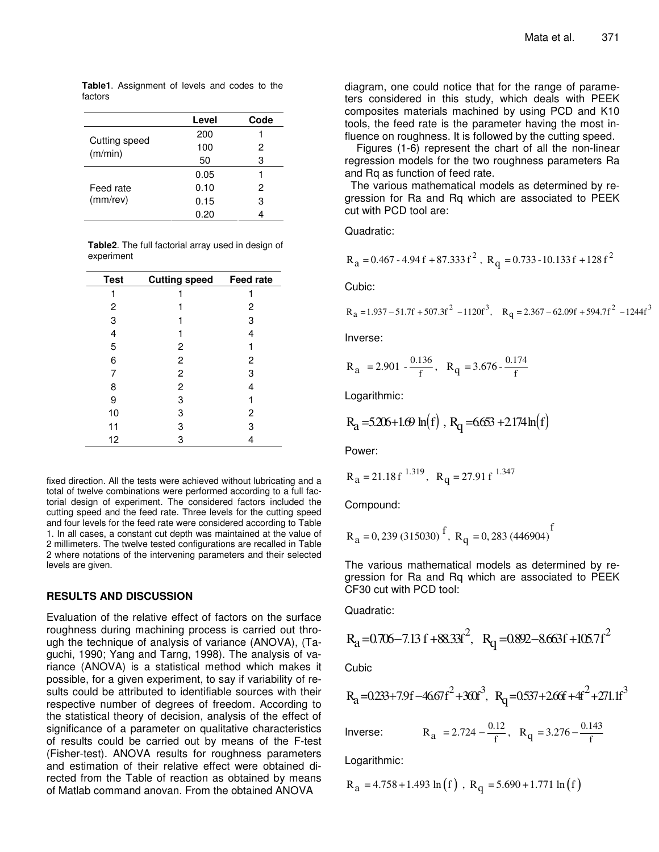|                          | Level | Code |
|--------------------------|-------|------|
|                          | 200   |      |
| Cutting speed<br>(m/min) | 100   | 2    |
|                          | 50    | З    |
|                          | 0.05  |      |
| Feed rate<br>$(mm$ /rev) | 0.10  | 2    |
|                          | 0.15  | 3    |
|                          | 0.20  |      |

**Table1**. Assignment of levels and codes to the factors

**Table2**. The full factorial array used in design of experiment

| <b>Test</b> | <b>Cutting speed</b> | <b>Feed rate</b> |
|-------------|----------------------|------------------|
|             |                      |                  |
| 2           |                      | 2                |
| 3           |                      | 3                |
| 4           |                      | 4                |
| 5           | 2                    |                  |
| 6           | $\overline{c}$       | 2                |
| 7           | $\overline{c}$       | 3                |
| 8           | $\overline{c}$       | 4                |
| 9           | 3                    |                  |
| 10          | 3                    | 2                |
| 11          | 3                    | 3                |
| 12          | 3                    | 4                |

fixed direction. All the tests were achieved without lubricating and a total of twelve combinations were performed according to a full factorial design of experiment. The considered factors included the cutting speed and the feed rate. Three levels for the cutting speed and four levels for the feed rate were considered according to Table 1. In all cases, a constant cut depth was maintained at the value of 2 millimeters. The twelve tested configurations are recalled in Table 2 where notations of the intervening parameters and their selected levels are given.

#### **RESULTS AND DISCUSSION**

Evaluation of the relative effect of factors on the surface roughness during machining process is carried out through the technique of analysis of variance (ANOVA), (Taguchi, 1990; Yang and Tarng, 1998). The analysis of variance (ANOVA) is a statistical method which makes it possible, for a given experiment, to say if variability of results could be attributed to identifiable sources with their respective number of degrees of freedom. According to the statistical theory of decision, analysis of the effect of significance of a parameter on qualitative characteristics of results could be carried out by means of the F-test (Fisher-test). ANOVA results for roughness parameters and estimation of their relative effect were obtained directed from the Table of reaction as obtained by means of Matlab command anovan. From the obtained ANOVA

diagram, one could notice that for the range of parameters considered in this study, which deals with PEEK composites materials machined by using PCD and K10 tools, the feed rate is the parameter having the most influence on roughness. It is followed by the cutting speed.

Figures (1-6) represent the chart of all the non-linear regression models for the two roughness parameters Ra and Rq as function of feed rate.

The various mathematical models as determined by regression for Ra and Rq which are associated to PEEK cut with PCD tool are:

Quadratic:

$$
R_a = 0.467 - 4.94 f + 87.333 f^2
$$
,  $R_q = 0.733 - 10.133 f + 128 f^2$ 

Cubic:

$$
R_a = 1.937 - 51.7f + 507.3f^2 - 1120f^3
$$
,  $R_q = 2.367 - 62.09f + 594.7f^2 - 1244f^3$ 

Inverse:

$$
R_a = 2.901 - \frac{0.136}{f}, \quad R_q = 3.676 - \frac{0.174}{f}
$$

Logarithmic:

$$
R_a = 5.206 + 1.69 \ln(f)
$$
,  $R_q = 6.653 + 2.174 \ln(f)$ 

Power:

$$
R_a = 21.18 \text{ f}^{1.319}
$$
,  $R_q = 27.91 \text{ f}^{1.347}$ 

Compound:

$$
R_a = 0,239 (315030)
$$
<sup>f</sup>,  $R_q = 0,283 (446904)$ <sup>f</sup>

The various mathematical models as determined by regression for Ra and Rq which are associated to PEEK CF30 cut with PCD tool:

Quadratic:

$$
R_a = 0.706 - 7.13 \text{ f} + 88.33 \text{ f}^2
$$
,  $R_q = 0.892 - 8.663 \text{ f} + 105.7 \text{ f}^2$ 

**Cubic** 

$$
R_a = 0.233 + 7.9f - 46.67f^2 + 360f^3
$$
,  $R_q = 0.537 + 266f + 4f^2 + 271.1f^3$ 

Inverse:  $0.12$  D  $2.276$   $0.143$  $R_a = 2.724 - \frac{0.12}{f}, R_q = 3.276 - \frac{0.12}{f}$ 

Logarithmic:

$$
R_a = 4.758 + 1.493 \ln(f)
$$
,  $R_q = 5.690 + 1.771 \ln(f)$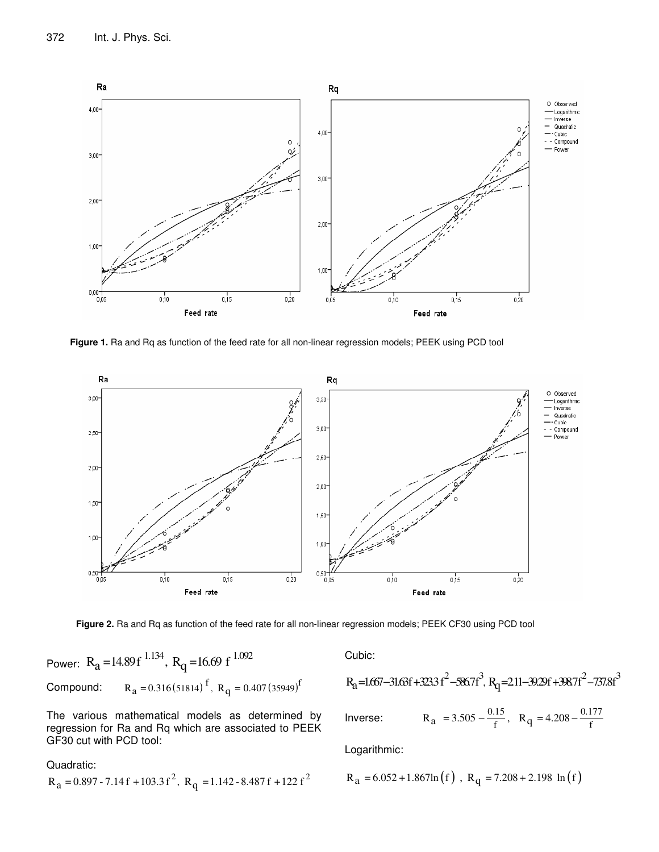

**Figure 1.** Ra and Rq as function of the feed rate for all non-linear regression models; PEEK using PCD tool



**Figure 2.** Ra and Rq as function of the feed rate for all non-linear regression models; PEEK CF30 using PCD tool

Power: 
$$
R_a = 14.89f^{1.134}
$$
,  $R_q = 16.69f^{1.092}$   
Compound:  $R_a = 0.316(51814)^f$ ,  $R_q = 0.407(35949)^f$ 

The various mathematical models as determined by regression for Ra and Rq which are associated to PEEK GF30 cut with PCD tool:

Quadratic:

$$
R_a = 0.897 - 7.14f + 103.3f^2
$$
,  $R_q = 1.142 - 8.487f + 122f^2$ 

Cubic:

$$
R_a = 1.667 - 31.63f + 323.3f^2 - 586.7f^3, R_q = 211 - 39.29f + 398.7f^2 - 737.8f^3
$$
  
Inverse: 
$$
R_a = 3.505 - \frac{0.15}{f}, R_q = 4.208 - \frac{0.177}{f}
$$

f  $\mathbf{f}$   $\mathbf{f}$   $\mathbf{f}$ 

Logarithmic:

$$
R_a = 6.052 + 1.867 \ln(f)
$$
,  $R_q = 7.208 + 2.198 \ln(f)$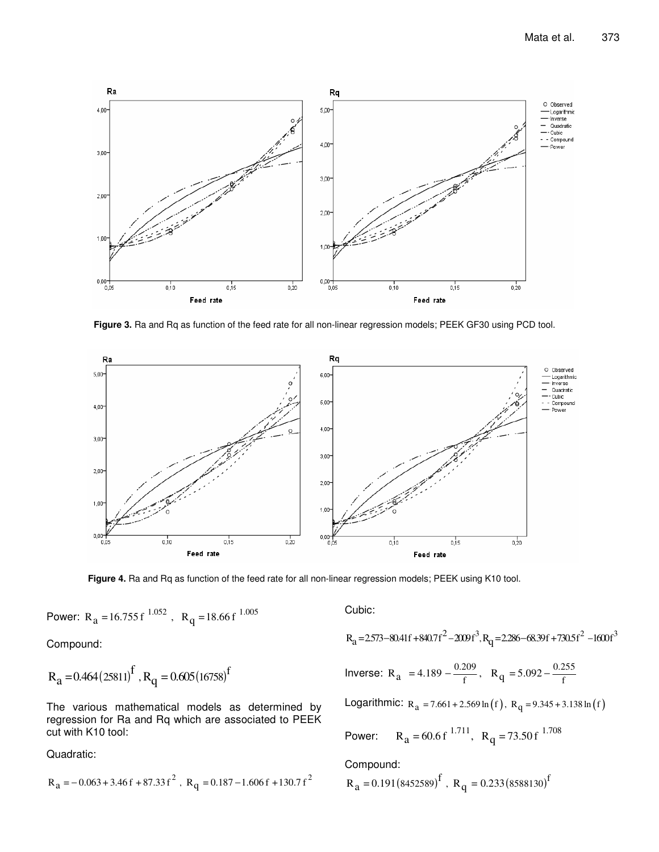

**Figure 3.** Ra and Rq as function of the feed rate for all non-linear regression models; PEEK GF30 using PCD tool.



**Figure 4.** Ra and Rq as function of the feed rate for all non-linear regression models; PEEK using K10 tool.

Power: 
$$
R_a = 16.755 f^{1.052}
$$
,  $R_q = 18.66 f^{1.005}$ 

Compound:

$$
R_a = 0.464 (25811)^f
$$
,  $R_q = 0.605 (16758)^f$ 

The various mathematical models as determined by regression for Ra and Rq which are associated to PEEK cut with K10 tool:

Quadratic:

$$
R_a = -0.063 + 3.46f + 87.33f^2
$$
,  $R_q = 0.187 - 1.606f + 130.7f^2$ 

Cubic:

$$
R_a = 2.573 - 80.41f + 840.7f^2 - 200f^3, R_q = 2.286 - 68.39f + 730.5f^2 - 1600f^3
$$

Inverse: 
$$
R_a = 4.189 - \frac{0.209}{f}
$$
,  $R_q = 5.092 - \frac{0.255}{f}$ 

Logarithmic:  $R_a = 7.661 + 2.569 \ln(f), R_q = 9.345 + 3.138 \ln(f)$ 

Power: 
$$
R_a = 60.6 f^{1.711}
$$
,  $R_q = 73.50 f^{1.708}$ 

Compound:

$$
R_a = 0.191(8452589)^f
$$
,  $R_q = 0.233(8588130)^f$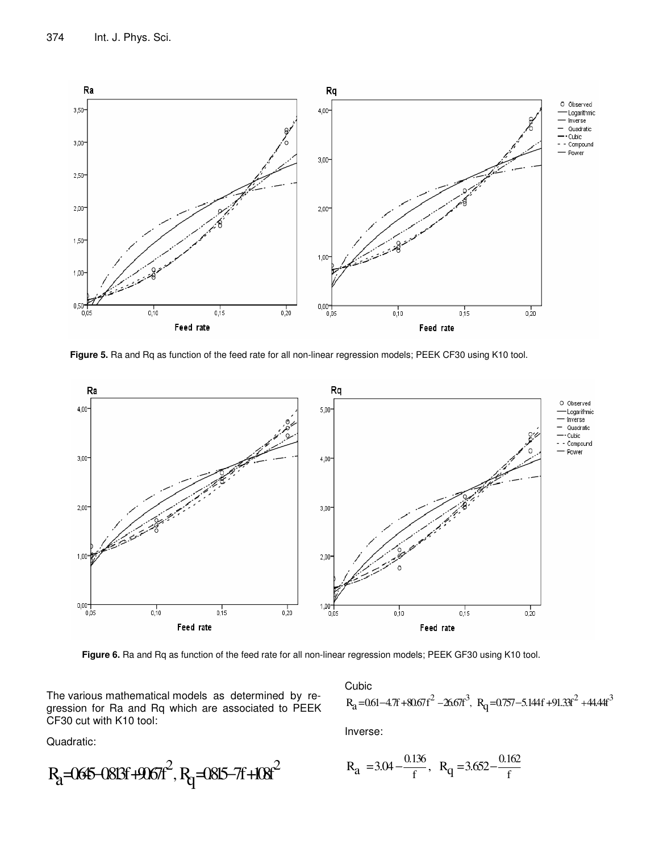

**Figure 5.** Ra and Rq as function of the feed rate for all non-linear regression models; PEEK CF30 using K10 tool.



**Figure 6.** Ra and Rq as function of the feed rate for all non-linear regression models; PEEK GF30 using K10 tool.

The various mathematical models as determined by regression for Ra and Rq which are associated to PEEK CF30 cut with K10 tool:

Quadratic:

$$
R_{a} = 0645 - 0813f + 9067f^{2}, R_{q} = 0815 - 7f + 108f^{2}
$$

Cubic  $R_a = 0.61 - 4.7f + 80.67f^2 - 26.67f^3$ ,  $R_q = 0.757 - 5.144f + 91.33f^2 + 44.44f^3$ Inverse:

$$
R_a = 3.04 - \frac{0.136}{f}, R_q = 3.652 - \frac{0.162}{f}
$$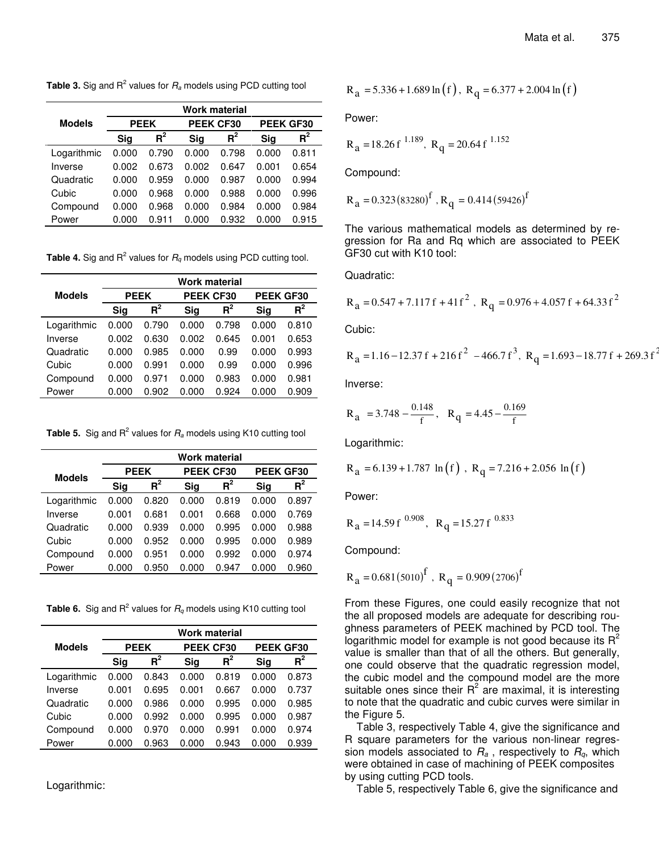**Table 3.** Sig and R<sup>2</sup> values for  $R$ <sub>*a*</sub> models using PCD cutting tool

|               | Work material |             |           |       |           |       |  |
|---------------|---------------|-------------|-----------|-------|-----------|-------|--|
| <b>Models</b> |               | <b>PEEK</b> | PEEK CF30 |       | PEEK GF30 |       |  |
|               | Sig           | $R^2$       | Sig       | $R^2$ | Sig       | $R^2$ |  |
| Logarithmic   | 0.000         | 0.790       | 0.000     | 0.798 | 0.000     | 0.811 |  |
| Inverse       | 0.002         | 0.673       | 0.002     | 0.647 | 0.001     | 0.654 |  |
| Quadratic     | 0.000         | 0.959       | 0.000     | 0.987 | 0.000     | 0.994 |  |
| Cubic         | 0.000         | 0.968       | 0.000     | 0.988 | 0.000     | 0.996 |  |
| Compound      | 0.000         | 0.968       | 0.000     | 0.984 | 0.000     | 0.984 |  |
| Power         | 0.000         | 0.911       | 0.000     | 0.932 | 0.000     | 0.915 |  |
|               |               |             |           |       |           |       |  |

**Table 4.** Sig and  $R^2$  values for  $R_q$  models using PCD cutting tool.

|               | Work material |       |            |       |           |       |
|---------------|---------------|-------|------------|-------|-----------|-------|
| <b>Models</b> | <b>PEEK</b>   |       | PEEK CF30  |       | PEEK GF30 |       |
|               | Sig           | $R^2$ | <b>Sig</b> | $R^2$ | Sig       | $R^2$ |
| Logarithmic   | 0.000         | 0.790 | 0.000      | 0.798 | 0.000     | 0.810 |
| Inverse       | 0.002         | 0.630 | 0.002      | 0.645 | 0.001     | 0.653 |
| Quadratic     | 0.000         | 0.985 | 0.000      | 0.99  | 0.000     | 0.993 |
| Cubic         | 0.000         | 0.991 | 0.000      | 0.99  | 0.000     | 0.996 |
| Compound      | 0.000         | 0.971 | 0.000      | 0.983 | 0.000     | 0.981 |
| Power         | 0.000         | 0.902 | 0.000      | 0.924 | 0.000     | 0.909 |

**Table 5.** Sig and R 2 values for *R<sup>a</sup>* models using K10 cutting tool

|               | <b>Work material</b> |       |           |       |           |       |
|---------------|----------------------|-------|-----------|-------|-----------|-------|
| <b>Models</b> | <b>PEEK</b>          |       | PEEK CF30 |       | PEEK GF30 |       |
|               | Sig                  | $R^2$ | Sig       | $R^2$ | Sig       | $R^2$ |
| Logarithmic   | 0.000                | 0.820 | 0.000     | 0.819 | 0.000     | 0.897 |
| Inverse       | 0.001                | 0.681 | 0.001     | 0.668 | 0.000     | 0.769 |
| Quadratic     | 0.000                | 0.939 | 0.000     | 0.995 | 0.000     | 0.988 |
| Cubic         | 0.000                | 0.952 | 0.000     | 0.995 | 0.000     | 0.989 |
| Compound      | 0.000                | 0.951 | 0.000     | 0.992 | 0.000     | 0.974 |
| Power         | 0.000                | 0.950 | 0.000     | 0.947 | 0.000     | 0.960 |

**Table 6.** Sig and R<sup>2</sup> values for  $R_q$  models using K10 cutting tool

|               | <b>Work material</b> |       |           |       |            |       |
|---------------|----------------------|-------|-----------|-------|------------|-------|
| <b>Models</b> | <b>PEEK</b>          |       | PEEK CF30 |       | PEEK GF30  |       |
|               | Sig                  | $R^2$ | Sig       | $R^2$ | <b>Sig</b> | $R^2$ |
| Logarithmic   | 0.000                | 0.843 | 0.000     | 0.819 | 0.000      | 0.873 |
| Inverse       | 0.001                | 0.695 | 0.001     | 0.667 | 0.000      | 0.737 |
| Quadratic     | 0.000                | 0.986 | 0.000     | 0.995 | 0.000      | 0.985 |
| Cubic         | 0.000                | 0.992 | 0.000     | 0.995 | 0.000      | 0.987 |
| Compound      | 0.000                | 0.970 | 0.000     | 0.991 | 0.000      | 0.974 |
| Power         | 0.000                | 0.963 | 0.000     | 0.943 | 0.000      | 0.939 |

Logarithmic:

$$
R_a = 5.336 + 1.689 \ln(f), R_q = 6.377 + 2.004 \ln(f)
$$

Power:

$$
R_a = 18.26 \text{ f}^{1.189}, R_q = 20.64 \text{ f}^{1.152}
$$

Compound:

$$
R_a = 0.323(83280)^f
$$
,  $R_q = 0.414(59426)^f$ 

The various mathematical models as determined by regression for Ra and Rq which are associated to PEEK GF30 cut with K10 tool:

Quadratic:

$$
R_a = 0.547 + 7.117f + 41f^2
$$
,  $R_q = 0.976 + 4.057f + 64.33f^2$ 

Cubic:

$$
R_a = 1.16 - 12.37 f + 216 f^2 - 466.7 f^3
$$
,  $R_q = 1.693 - 18.77 f + 269.3 f^2$ 

Inverse:

$$
R_a = 3.748 - \frac{0.148}{f}, R_q = 4.45 - \frac{0.169}{f}
$$

Logarithmic:

$$
R_a = 6.139 + 1.787 \ln(f)
$$
,  $R_q = 7.216 + 2.056 \ln(f)$ 

Power:

$$
R_a = 14.59 f^{0.908}
$$
,  $R_q = 15.27 f^{0.833}$ 

Compound:

$$
R_a = 0.681(5010)^f
$$
,  $R_q = 0.909(2706)^f$ 

From these Figures, one could easily recognize that not the all proposed models are adequate for describing roughness parameters of PEEK machined by PCD tool. The logarithmic model for example is not good because its  $R^2$ value is smaller than that of all the others. But generally, one could observe that the quadratic regression model, the cubic model and the compound model are the more suitable ones since their  $R^2$  are maximal, it is interesting to note that the quadratic and cubic curves were similar in the Figure 5.

Table 3, respectively Table 4, give the significance and R square parameters for the various non-linear regression models associated to  $R_a$ , respectively to  $R_a$ , which were obtained in case of machining of PEEK composites by using cutting PCD tools.

Table 5, respectively Table 6, give the significance and